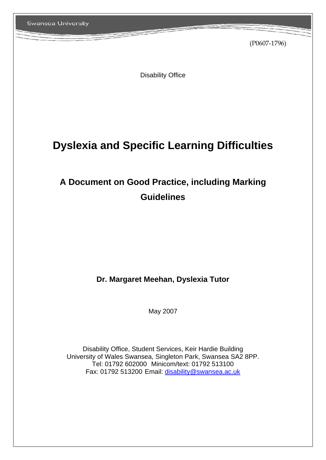(P0607-1796)

Disability Office

# **Dyslexia and Specific Learning Difficulties**

# **A Document on Good Practice, including Marking Guidelines**

# **Dr. Margaret Meehan, Dyslexia Tutor**

May 2007

Disability Office, Student Services, Keir Hardie Building University of Wales Swansea, Singleton Park, Swansea SA2 8PP. Tel: 01792 602000 Minicom/text: 01792 513100 Fax: 01792 513200 Email: disability@swansea.ac.uk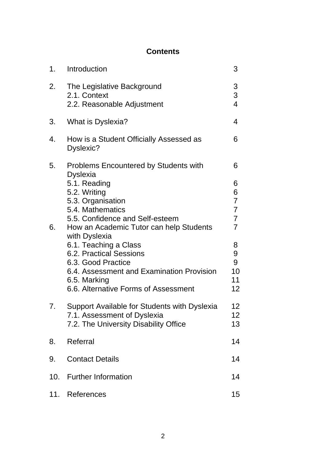# **Contents**

| 1.  | Introduction                                                                                                                                                                                                                                                                                                                                               | 3                                                                                                                            |
|-----|------------------------------------------------------------------------------------------------------------------------------------------------------------------------------------------------------------------------------------------------------------------------------------------------------------------------------------------------------------|------------------------------------------------------------------------------------------------------------------------------|
| 2.  | The Legislative Background<br>2.1. Context<br>2.2. Reasonable Adjustment                                                                                                                                                                                                                                                                                   | 3<br>3<br>$\overline{4}$                                                                                                     |
| 3.  | What is Dyslexia?                                                                                                                                                                                                                                                                                                                                          | 4                                                                                                                            |
| 4.  | How is a Student Officially Assessed as<br>Dyslexic?                                                                                                                                                                                                                                                                                                       | 6                                                                                                                            |
| 5.  | <b>Problems Encountered by Students with</b><br><b>Dyslexia</b>                                                                                                                                                                                                                                                                                            | 6                                                                                                                            |
| 6.  | 5.1. Reading<br>5.2. Writing<br>5.3. Organisation<br>5.4. Mathematics<br>5.5. Confidence and Self-esteem<br>How an Academic Tutor can help Students<br>with Dyslexia<br>6.1. Teaching a Class<br><b>6.2. Practical Sessions</b><br>6.3. Good Practice<br>6.4. Assessment and Examination Provision<br>6.5. Marking<br>6.6. Alternative Forms of Assessment | 6<br>6<br>$\overline{7}$<br>$\overline{7}$<br>$\overline{7}$<br>$\overline{7}$<br>8<br>9<br>9<br>10<br>11<br>12 <sub>2</sub> |
| 7.  | Support Available for Students with Dyslexia<br>7.1. Assessment of Dyslexia<br>7.2. The University Disability Office                                                                                                                                                                                                                                       | 12<br>12<br>13                                                                                                               |
| 8.  | Referral                                                                                                                                                                                                                                                                                                                                                   | 14                                                                                                                           |
| 9.  | <b>Contact Details</b>                                                                                                                                                                                                                                                                                                                                     | 14                                                                                                                           |
| 10. | <b>Further Information</b>                                                                                                                                                                                                                                                                                                                                 | 14                                                                                                                           |
| 11. | References                                                                                                                                                                                                                                                                                                                                                 | 15                                                                                                                           |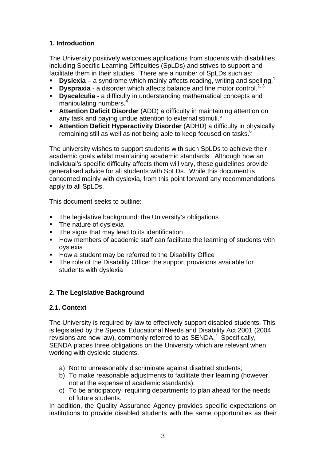# **1. Introduction**

The University positively welcomes applications from students with disabilities including Specific Learning Difficulties (SpLDs) and strives to support and facilitate them in their studies. There are a number of SpLDs such as:

- **Dyslexia** a syndrome which mainly affects reading, writing and spelling.<sup>1</sup>
- **Dyspraxia** a disorder which affects balance and fine motor control.<sup>2, 3</sup>
- **Dyscalculia** a difficulty in understanding mathematical concepts and manipulating numbers.
- **Attention Deficit Disorder** (ADD) a difficulty in maintaining attention on any task and paying undue attention to external stimuli.<sup>5</sup>
- **Attention Deficit Hyperactivity Disorder** (ADHD) a difficulty in physically remaining still as well as not being able to keep focused on tasks.<sup>6</sup>

The university wishes to support students with such SpLDs to achieve their academic goals whilst maintaining academic standards. Although how an individual's specific difficulty affects them will vary, these guidelines provide generalised advice for all students with SpLDs. While this document is concerned mainly with dyslexia, from this point forward any recommendations apply to all SpLDs.

This document seeks to outline:

- **The legislative background: the University's obligations**
- The nature of dyslexia
- The signs that may lead to its identification
- How members of academic staff can facilitate the learning of students with dyslexia
- **How a student may be referred to the Disability Office**
- The role of the Disability Office: the support provisions available for students with dyslexia

# **2. The Legislative Background**

# **2.1. Context**

The University is required by law to effectively support disabled students. This is legislated by the Special Educational Needs and Disability Act 2001 (2004 revisions are now law), commonly referred to as  $SENDA<sup>7</sup>$  Specifically, SENDA places three obligations on the University which are relevant when working with dyslexic students.

- a) Not to unreasonably discriminate against disabled students;
- b) To make reasonable adjustments to facilitate their learning (however, not at the expense of academic standards);
- c) To be anticipatory; requiring departments to plan ahead for the needs of future students.

In addition, the Quality Assurance Agency provides specific expectations on institutions to provide disabled students with the same opportunities as their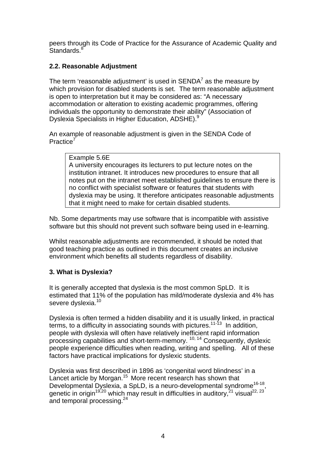peers through its Code of Practice for the Assurance of Academic Quality and Standards.<sup>8</sup>

# **2.2. Reasonable Adjustment**

The term 'reasonable adjustment' is used in  ${\sf SENDA}^7$  as the measure by which provision for disabled students is set. The term reasonable adjustment is open to interpretation but it may be considered as: "A necessary accommodation or alteration to existing academic programmes, offering individuals the opportunity to demonstrate their ability" (Association of Dyslexia Specialists in Higher Education, ADSHE).<sup>9</sup>

An example of reasonable adjustment is given in the SENDA Code of Practice<sup>7</sup>

#### Example 5.6E

A university encourages its lecturers to put lecture notes on the institution intranet. It introduces new procedures to ensure that all notes put on the intranet meet established guidelines to ensure there is no conflict with specialist software or features that students with dyslexia may be using. It therefore anticipates reasonable adjustments that it might need to make for certain disabled students.

Nb. Some departments may use software that is incompatible with assistive software but this should not prevent such software being used in e-learning.

Whilst reasonable adjustments are recommended, it should be noted that good teaching practice as outlined in this document creates an inclusive environment which benefits all students regardless of disability.

# **3. What is Dyslexia?**

It is generally accepted that dyslexia is the most common SpLD. It is estimated that 11% of the population has mild/moderate dyslexia and 4% has severe dyslexia.<sup>10</sup>

Dyslexia is often termed a hidden disability and it is usually linked, in practical terms, to a difficulty in associating sounds with pictures.<sup>11-13</sup> In addition, people with dyslexia will often have relatively inefficient rapid information processing capabilities and short-term-memory. 10, 14 Consequently, dyslexic people experience difficulties when reading, writing and spelling. All of these factors have practical implications for dyslexic students.

Dyslexia was first described in 1896 as 'congenital word blindness' in a Lancet article by Morgan.<sup>15</sup> More recent research has shown that Developmental Dyslexia, a SpLD, is a neuro-developmental syndrome<sup>16-18</sup>, genetic in origin<sup>19,20</sup> which may result in difficulties in auditory,<sup>21</sup> visual<sup>22, 23</sup> and temporal processing.<sup>24</sup>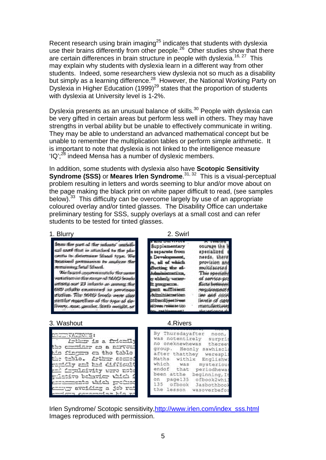Recent research using brain imaging $^{25}$  indicates that students with dyslexia use their brains differently from other people.<sup>26</sup> Other studies show that there are certain differences in brain structure in people with dyslexia.<sup>16, 27</sup> This may explain why students with dyslexia learn in a different way from other students. Indeed, some researchers view dyslexia not so much as a disability but simply as a learning difference.<sup>28</sup> However, the National Working Party on Dyslexia in Higher Education (1999)<sup>29</sup> states that the proportion of students with dyslexia at University level is 1-2%.

Dyslexia presents as an unusual balance of skills.<sup>30</sup> People with dyslexia can be very gifted in certain areas but perform less well in others. They may have strengths in verbal ability but be unable to effectively communicate in writing. They may be able to understand an advanced mathematical concept but be unable to remember the multiplication tables or perform simple arithmetic. It is important to note that dyslexia is not linked to the intelligence measure 'IQ': $^{28}$  indeed Mensa has a number of dyslexic members.

In addition, some students with dyslexia also have **Scotopic Sensitivity Syndrome (SSS)** or **Meares Irlen Syndrome**.<sup>31, 32</sup> This is a visual-perceptual problem resulting in letters and words seeming to blur and/or move about on the page making the black print on white paper difficult to read, (see samples below).<sup>33</sup> This difficulty can be overcome largely by use of an appropriate coloured overlay and/or tinted glasses. The Disability Office can undertake preliminary testing for SSS, supply overlays at a small cost and can refer students to be tested for tinted glasses.

#### 1. Blurry 2. Swirl

from the part of the infants' authorsail carel that is attached to the sincentta in determine libert syse. We received permission to analyse the remaining field liberal.

Wirtburntlannmeningtify the same ventitlism in the range of MAO housk among our 29 infants as among the dan adude examined in pervisos studies. The MAYO livets were also emittler reportilies of the type of delivery, ruse, gentler, liteth watgilt, or

| Supplementary              | courage the B                     |
|----------------------------|-----------------------------------|
| s separate from            | apecialized                       |
| Development,               | needs, there                      |
| e, all est which           | provision and                     |
| Decting the el-            | multisseeted.                     |
| Admonistration.            | This specially                    |
| we channel warner-         | of service pro                    |
| the process means .        | <b>Alicto between</b>             |
| pant aufficient            | <b><i><b>MIGLIAGEDADE</b></i></b> |
| Ad <del>iminata</del> tion | line and coord                    |
| <b>Idthuodiyeet breast</b> | <b>I WHAT OF GARA</b>             |
| COJ ed minimum amerižk     | <b>manufactured</b>               |
| أنوار والمعاد              |                                   |

#### 3. Washout 4. Rivers

| <b>CHITTYATIONS:</b>                                  |
|-------------------------------------------------------|
| Lathur is a friendly                                  |
| the committer co a norvour                            |
| bio fingga ca tho tablo                               |
| the toble. Arthur second<br>raticly and had difficult |
| em: Copulaivity word note                             |
| rdativo behavier vhich i                              |
| contents wider product                                |
| emang aveiding a job rat                              |
| لجواحقوا والمستحصحان وبسويست                          |

| By Thursdayafter | noon.                    |
|------------------|--------------------------|
| was notentirely  | surpri                   |
| no oneknewhewas  | thereey                  |
|                  | group. Heonly sawhiscla  |
| after thatthey   | werespli                 |
| Maths withlx     | Englishw:                |
| which.<br>was    | mysterious               |
|                  | endof that periodhewas   |
|                  | been atthe beginning, It |
| on page135       | ofbook2whil              |
| 135 ofbook       | <b>3asbothbook</b>       |
| the lesson       | wasoverbefor             |
|                  |                          |

Irlen Syndrome/ Scotopic sensitivity,http://www.irlen.com/index\_sss.html Images reproduced with permission.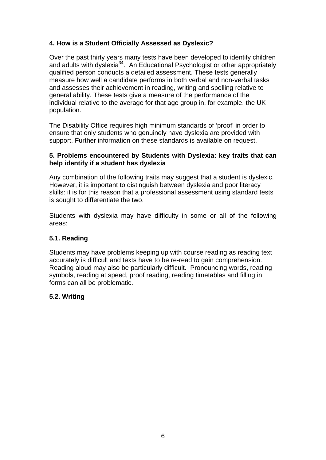# **4. How is a Student Officially Assessed as Dyslexic?**

Over the past thirty years many tests have been developed to identify children and adults with dyslexia<sup>34</sup>. An Educational Psychologist or other appropriately qualified person conducts a detailed assessment. These tests generally measure how well a candidate performs in both verbal and non-verbal tasks and assesses their achievement in reading, writing and spelling relative to general ability. These tests give a measure of the performance of the individual relative to the average for that age group in, for example, the UK population.

The Disability Office requires high minimum standards of 'proof' in order to ensure that only students who genuinely have dyslexia are provided with support. Further information on these standards is available on request.

#### **5. Problems encountered by Students with Dyslexia: key traits that can help identify if a student has dyslexia**

Any combination of the following traits may suggest that a student is dyslexic. However, it is important to distinguish between dyslexia and poor literacy skills: it is for this reason that a professional assessment using standard tests is sought to differentiate the two.

Students with dyslexia may have difficulty in some or all of the following areas:

# **5.1. Reading**

Students may have problems keeping up with course reading as reading text accurately is difficult and texts have to be re-read to gain comprehension. Reading aloud may also be particularly difficult. Pronouncing words, reading symbols, reading at speed, proof reading, reading timetables and filling in forms can all be problematic.

# **5.2. Writing**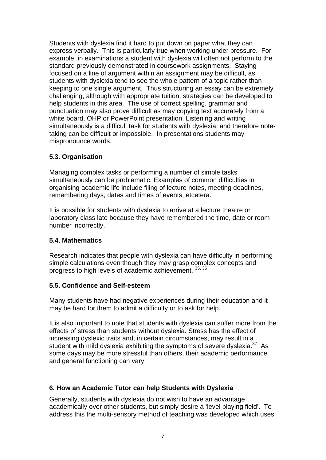Students with dyslexia find it hard to put down on paper what they can express verbally. This is particularly true when working under pressure. For example, in examinations a student with dyslexia will often not perform to the standard previously demonstrated in coursework assignments. Staying focused on a line of argument within an assignment may be difficult, as students with dyslexia tend to see the whole pattern of a topic rather than keeping to one single argument. Thus structuring an essay can be extremely challenging, although with appropriate tuition, strategies can be developed to help students in this area. The use of correct spelling, grammar and punctuation may also prove difficult as may copying text accurately from a white board, OHP or PowerPoint presentation. Listening and writing simultaneously is a difficult task for students with dyslexia, and therefore notetaking can be difficult or impossible. In presentations students may mispronounce words.

# **5.3. Organisation**

Managing complex tasks or performing a number of simple tasks simultaneously can be problematic. Examples of common difficulties in organising academic life include filing of lecture notes, meeting deadlines, remembering days, dates and times of events, etcetera.

It is possible for students with dyslexia to arrive at a lecture theatre or laboratory class late because they have remembered the time, date or room number incorrectly.

#### **5.4. Mathematics**

Research indicates that people with dyslexia can have difficulty in performing simple calculations even though they may grasp complex concepts and progress to high levels of academic achievement. 35, 36

#### **5.5. Confidence and Self-esteem**

Many students have had negative experiences during their education and it may be hard for them to admit a difficulty or to ask for help.

It is also important to note that students with dyslexia can suffer more from the effects of stress than students without dyslexia. Stress has the effect of increasing dyslexic traits and, in certain circumstances, may result in a student with mild dyslexia exhibiting the symptoms of severe dyslexia.<sup>37</sup> As some days may be more stressful than others, their academic performance and general functioning can vary.

# **6. How an Academic Tutor can help Students with Dyslexia**

Generally, students with dyslexia do not wish to have an advantage academically over other students, but simply desire a 'level playing field'. To address this the multi-sensory method of teaching was developed which uses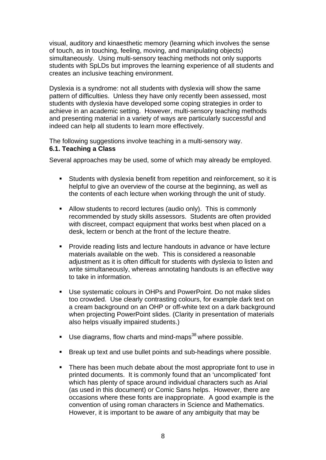visual, auditory and kinaesthetic memory (learning which involves the sense of touch, as in touching, feeling, moving, and manipulating objects) simultaneously. Using multi-sensory teaching methods not only supports students with SpLDs but improves the learning experience of all students and creates an inclusive teaching environment.

Dyslexia is a syndrome: not all students with dyslexia will show the same pattern of difficulties. Unless they have only recently been assessed, most students with dyslexia have developed some coping strategies in order to achieve in an academic setting. However, multi-sensory teaching methods and presenting material in a variety of ways are particularly successful and indeed can help all students to learn more effectively.

The following suggestions involve teaching in a multi-sensory way. **6.1. Teaching a Class** 

Several approaches may be used, some of which may already be employed.

- Students with dyslexia benefit from repetition and reinforcement, so it is helpful to give an overview of the course at the beginning, as well as the contents of each lecture when working through the unit of study.
- Allow students to record lectures (audio only). This is commonly recommended by study skills assessors. Students are often provided with discreet, compact equipment that works best when placed on a desk, lectern or bench at the front of the lecture theatre.
- Provide reading lists and lecture handouts in advance or have lecture materials available on the web. This is considered a reasonable adjustment as it is often difficult for students with dyslexia to listen and write simultaneously, whereas annotating handouts is an effective way to take in information.
- Use systematic colours in OHPs and PowerPoint. Do not make slides too crowded. Use clearly contrasting colours, for example dark text on a cream background on an OHP or off-white text on a dark background when projecting PowerPoint slides. (Clarity in presentation of materials also helps visually impaired students.)
- **Use diagrams, flow charts and mind-maps**<sup>38</sup> where possible.
- Break up text and use bullet points and sub-headings where possible.
- There has been much debate about the most appropriate font to use in printed documents. It is commonly found that an 'uncomplicated' font which has plenty of space around individual characters such as Arial (as used in this document) or Comic Sans helps. However, there are occasions where these fonts are inappropriate. A good example is the convention of using roman characters in Science and Mathematics. However, it is important to be aware of any ambiguity that may be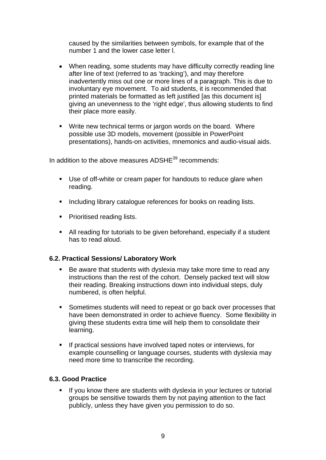caused by the similarities between symbols, for example that of the number 1 and the lower case letter l.

- When reading, some students may have difficulty correctly reading line after line of text (referred to as 'tracking'), and may therefore inadvertently miss out one or more lines of a paragraph. This is due to involuntary eye movement. To aid students, it is recommended that printed materials be formatted as left justified [as this document is] giving an unevenness to the 'right edge', thus allowing students to find their place more easily.
- **Write new technical terms or jargon words on the board. Where** possible use 3D models, movement (possible in PowerPoint presentations), hands-on activities, mnemonics and audio-visual aids.

In addition to the above measures ADSHE<sup>39</sup> recommends:

- Use of off-white or cream paper for handouts to reduce glare when reading.
- **Including library catalogue references for books on reading lists.**
- **Prioritised reading lists.**
- All reading for tutorials to be given beforehand, especially if a student has to read aloud.

#### **6.2. Practical Sessions/ Laboratory Work**

- Be aware that students with dyslexia may take more time to read any instructions than the rest of the cohort. Densely packed text will slow their reading. Breaking instructions down into individual steps, duly numbered, is often helpful.
- **Sometimes students will need to repeat or go back over processes that** have been demonstrated in order to achieve fluency. Some flexibility in giving these students extra time will help them to consolidate their learning.
- If practical sessions have involved taped notes or interviews, for example counselling or language courses, students with dyslexia may need more time to transcribe the recording.

#### **6.3. Good Practice**

 If you know there are students with dyslexia in your lectures or tutorial groups be sensitive towards them by not paying attention to the fact publicly, unless they have given you permission to do so.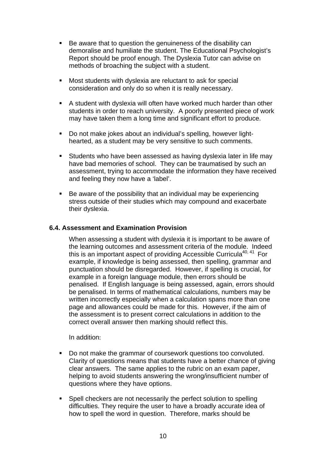- Be aware that to question the genuineness of the disability can demoralise and humiliate the student. The Educational Psychologist's Report should be proof enough. The Dyslexia Tutor can advise on methods of broaching the subject with a student.
- Most students with dyslexia are reluctant to ask for special consideration and only do so when it is really necessary.
- A student with dyslexia will often have worked much harder than other students in order to reach university. A poorly presented piece of work may have taken them a long time and significant effort to produce.
- Do not make jokes about an individual's spelling, however lighthearted, as a student may be very sensitive to such comments.
- Students who have been assessed as having dyslexia later in life may have bad memories of school. They can be traumatised by such an assessment, trying to accommodate the information they have received and feeling they now have a 'label'.
- Be aware of the possibility that an individual may be experiencing stress outside of their studies which may compound and exacerbate their dyslexia.

#### **6.4. Assessment and Examination Provision**

When assessing a student with dyslexia it is important to be aware of the learning outcomes and assessment criteria of the module. Indeed this is an important aspect of providing Accessible Curricula<sup>40, 41</sup> For example, if knowledge is being assessed, then spelling, grammar and punctuation should be disregarded. However, if spelling is crucial, for example in a foreign language module, then errors should be penalised. If English language is being assessed, again, errors should be penalised. In terms of mathematical calculations, numbers may be written incorrectly especially when a calculation spans more than one page and allowances could be made for this. However, if the aim of the assessment is to present correct calculations in addition to the correct overall answer then marking should reflect this.

In addition:

- Do not make the grammar of coursework questions too convoluted. Clarity of questions means that students have a better chance of giving clear answers. The same applies to the rubric on an exam paper, helping to avoid students answering the wrong/insufficient number of questions where they have options.
- **Spell checkers are not necessarily the perfect solution to spelling** difficulties. They require the user to have a broadly accurate idea of how to spell the word in question. Therefore, marks should be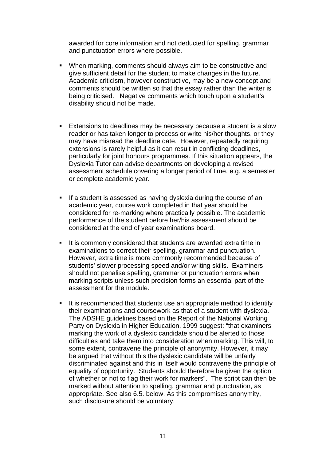awarded for core information and not deducted for spelling, grammar and punctuation errors where possible.

- When marking, comments should always aim to be constructive and give sufficient detail for the student to make changes in the future. Academic criticism, however constructive, may be a new concept and comments should be written so that the essay rather than the writer is being criticised. Negative comments which touch upon a student's disability should not be made.
- Extensions to deadlines may be necessary because a student is a slow reader or has taken longer to process or write his/her thoughts, or they may have misread the deadline date. However, repeatedly requiring extensions is rarely helpful as it can result in conflicting deadlines, particularly for joint honours programmes. If this situation appears, the Dyslexia Tutor can advise departments on developing a revised assessment schedule covering a longer period of time, e.g. a semester or complete academic year.
- If a student is assessed as having dyslexia during the course of an academic year, course work completed in that year should be considered for re-marking where practically possible. The academic performance of the student before her/his assessment should be considered at the end of year examinations board.
- It is commonly considered that students are awarded extra time in examinations to correct their spelling, grammar and punctuation. However, extra time is more commonly recommended because of students' slower processing speed and/or writing skills. Examiners should not penalise spelling, grammar or punctuation errors when marking scripts unless such precision forms an essential part of the assessment for the module.
- It is recommended that students use an appropriate method to identify their examinations and coursework as that of a student with dyslexia. The ADSHE guidelines based on the Report of the National Working Party on Dyslexia in Higher Education, 1999 suggest: "that examiners marking the work of a dyslexic candidate should be alerted to those difficulties and take them into consideration when marking. This will, to some extent, contravene the principle of anonymity. However, it may be argued that without this the dyslexic candidate will be unfairly discriminated against and this in itself would contravene the principle of equality of opportunity. Students should therefore be given the option of whether or not to flag their work for markers". The script can then be marked without attention to spelling, grammar and punctuation, as appropriate. See also 6.5. below. As this compromises anonymity, such disclosure should be voluntary.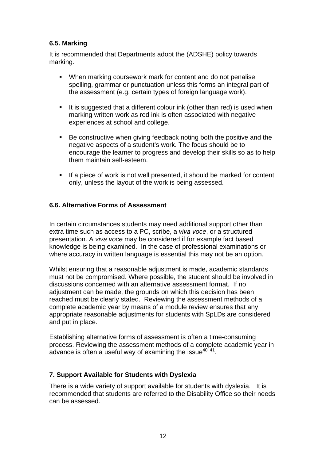# **6.5. Marking**

It is recommended that Departments adopt the (ADSHE) policy towards marking.

- When marking coursework mark for content and do not penalise spelling, grammar or punctuation unless this forms an integral part of the assessment (e.g. certain types of foreign language work).
- It is suggested that a different colour ink (other than red) is used when marking written work as red ink is often associated with negative experiences at school and college.
- Be constructive when giving feedback noting both the positive and the negative aspects of a student's work. The focus should be to encourage the learner to progress and develop their skills so as to help them maintain self-esteem.
- **If a piece of work is not well presented, it should be marked for content** only, unless the layout of the work is being assessed.

# **6.6. Alternative Forms of Assessment**

In certain circumstances students may need additional support other than extra time such as access to a PC, scribe, a *viva voce*, or a structured presentation. A *viva voce* may be considered if for example fact based knowledge is being examined. In the case of professional examinations or where accuracy in written language is essential this may not be an option.

Whilst ensuring that a reasonable adjustment is made, academic standards must not be compromised. Where possible, the student should be involved in discussions concerned with an alternative assessment format. If no adjustment can be made, the grounds on which this decision has been reached must be clearly stated. Reviewing the assessment methods of a complete academic year by means of a module review ensures that any appropriate reasonable adjustments for students with SpLDs are considered and put in place.

Establishing alternative forms of assessment is often a time-consuming process. Reviewing the assessment methods of a complete academic year in advance is often a useful way of examining the issue $40,41$ .

#### **7. Support Available for Students with Dyslexia**

There is a wide variety of support available for students with dyslexia. It is recommended that students are referred to the Disability Office so their needs can be assessed.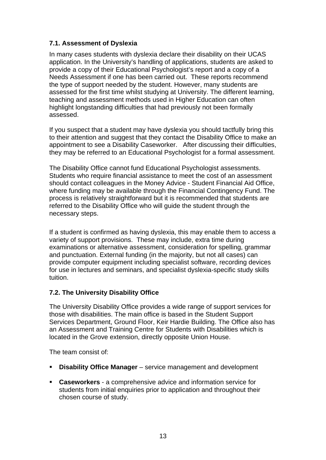# **7.1. Assessment of Dyslexia**

In many cases students with dyslexia declare their disability on their UCAS application. In the University's handling of applications, students are asked to provide a copy of their Educational Psychologist's report and a copy of a Needs Assessment if one has been carried out. These reports recommend the type of support needed by the student. However, many students are assessed for the first time whilst studying at University. The different learning, teaching and assessment methods used in Higher Education can often highlight longstanding difficulties that had previously not been formally assessed.

If you suspect that a student may have dyslexia you should tactfully bring this to their attention and suggest that they contact the Disability Office to make an appointment to see a Disability Caseworker. After discussing their difficulties, they may be referred to an Educational Psychologist for a formal assessment.

The Disability Office cannot fund Educational Psychologist assessments. Students who require financial assistance to meet the cost of an assessment should contact colleagues in the Money Advice - Student Financial Aid Office, where funding may be available through the Financial Contingency Fund. The process is relatively straightforward but it is recommended that students are referred to the Disability Office who will guide the student through the necessary steps.

If a student is confirmed as having dyslexia, this may enable them to access a variety of support provisions. These may include, extra time during examinations or alternative assessment, consideration for spelling, grammar and punctuation. External funding (in the majority, but not all cases) can provide computer equipment including specialist software, recording devices for use in lectures and seminars, and specialist dyslexia-specific study skills tuition.

# **7.2. The University Disability Office**

The University Disability Office provides a wide range of support services for those with disabilities. The main office is based in the Student Support Services Department, Ground Floor, Keir Hardie Building. The Office also has an Assessment and Training Centre for Students with Disabilities which is located in the Grove extension, directly opposite Union House.

The team consist of:

- **-** Disability Office Manager service management and development
- **Caseworkers**  a comprehensive advice and information service for students from initial enquiries prior to application and throughout their chosen course of study.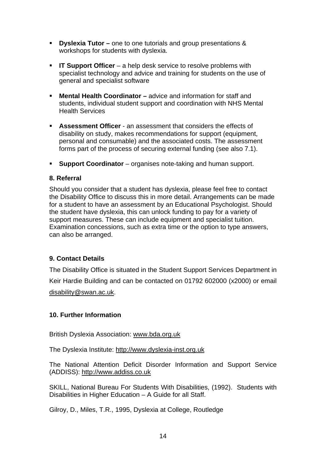- **Dyslexia Tutor –** one to one tutorials and group presentations & workshops for students with dyslexia.
- **IT Support Officer** a help desk service to resolve problems with specialist technology and advice and training for students on the use of general and specialist software
- **Mental Health Coordinator –** advice and information for staff and students, individual student support and coordination with NHS Mental Health Services
- **Assessment Officer** an assessment that considers the effects of disability on study, makes recommendations for support (equipment, personal and consumable) and the associated costs. The assessment forms part of the process of securing external funding (see also 7.1).
- **Support Coordinator** organises note-taking and human support.

#### **8. Referral**

Should you consider that a student has dyslexia, please feel free to contact the Disability Office to discuss this in more detail. Arrangements can be made for a student to have an assessment by an Educational Psychologist. Should the student have dyslexia, this can unlock funding to pay for a variety of support measures. These can include equipment and specialist tuition. Examination concessions, such as extra time or the option to type answers, can also be arranged.

# **9. Contact Details**

The Disability Office is situated in the Student Support Services Department in Keir Hardie Building and can be contacted on 01792 602000 (x2000) or email disability@swan.ac.uk.

#### **10. Further Information**

British Dyslexia Association: www.bda.org.uk

The Dyslexia Institute: http://www.dyslexia-inst.org.uk

The National Attention Deficit Disorder Information and Support Service (ADDISS): http://www.addiss.co.uk

SKILL, National Bureau For Students With Disabilities, (1992). Students with Disabilities in Higher Education – A Guide for all Staff.

Gilroy, D., Miles, T.R., 1995, Dyslexia at College, Routledge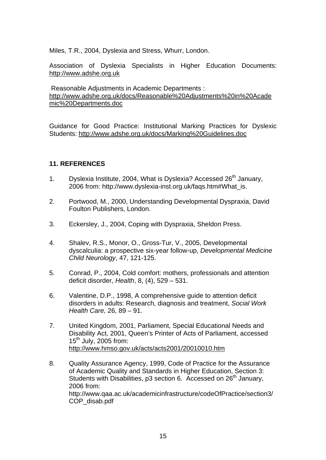Miles, T.R., 2004, Dyslexia and Stress, Whurr, London.

Association of Dyslexia Specialists in Higher Education Documents: http://www.adshe.org.uk

 Reasonable Adjustments in Academic Departments : http://www.adshe.org.uk/docs/Reasonable%20Adjustments%20in%20Acade mic%20Departments.doc

Guidance for Good Practice: Institutional Marking Practices for Dyslexic Students: http://www.adshe.org.uk/docs/Marking%20Guidelines.doc

# **11. REFERENCES**

- 1. Dyslexia Institute, 2004, What is Dyslexia? Accessed 26<sup>th</sup> January, 2006 from: http://www.dyslexia-inst.org.uk/faqs.htm#What\_is.
- 2. Portwood, M., 2000, Understanding Developmental Dyspraxia, David Foulton Publishers, London.
- 3. Eckersley, J., 2004, Coping with Dyspraxia, Sheldon Press.
- 4. Shalev, R.S., Monor, O., Gross-Tur, V., 2005, Developmental dyscalculia: a prospective six-year follow-up, *Developmental Medicine Child Neurology*, 47, 121-125.
- 5. Conrad, P., 2004, Cold comfort: mothers, professionals and attention deficit disorder, *Health*, 8, (4), 529 – 531.
- 6. Valentine, D.P., 1998, A comprehensive guide to attention deficit disorders in adults: Research, diagnosis and treatment, *Social Work Health Care,* 26, 89 – 91.
- 7. United Kingdom, 2001, Parliament, Special Educational Needs and Disability Act, 2001, Queen's Printer of Acts of Parliament, accessed  $15<sup>th</sup>$  July, 2005 from: http://www.hmso.gov.uk/acts/acts2001/20010010.htm
- 8. Quality Assurance Agency, 1999, Code of Practice for the Assurance of Academic Quality and Standards in Higher Education, Section 3: Students with Disabilities, p3 section 6. Accessed on  $26<sup>th</sup>$  January, 2006 from: http://www.qaa.ac.uk/academicinfrastructure/codeOfPractice/section3/ COP\_disab.pdf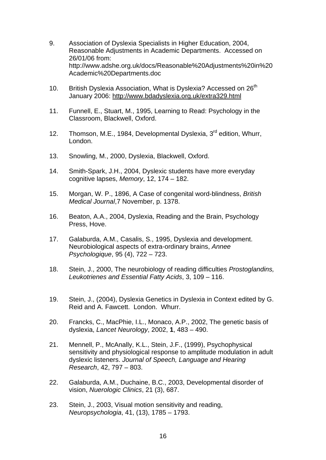- 9. Association of Dyslexia Specialists in Higher Education, 2004, Reasonable Adjustments in Academic Departments. Accessed on 26/01/06 from: http://www.adshe.org.uk/docs/Reasonable%20Adjustments%20in%20 Academic%20Departments.doc
- 10. British Dyslexia Association, What is Dyslexia? Accessed on 26<sup>th</sup> January 2006: http://www.bdadyslexia.org.uk/extra329.html
- 11. Funnell, E., Stuart, M., 1995, Learning to Read: Psychology in the Classroom, Blackwell, Oxford.
- 12. Thomson, M.E., 1984, Developmental Dyslexia, 3<sup>rd</sup> edition, Whurr, London.
- 13. Snowling, M., 2000, Dyslexia, Blackwell, Oxford.
- 14. Smith-Spark, J.H., 2004, Dyslexic students have more everyday cognitive lapses, *Memory*, 12, 174 – 182.
- 15. Morgan, W. P., 1896, A Case of congenital word-blindness, *British Medical Journal*,7 November, p. 1378.
- 16. Beaton, A.A., 2004, Dyslexia, Reading and the Brain, Psychology Press, Hove.
- 17. Galaburda, A.M., Casalis, S., 1995, Dyslexia and development. Neurobiological aspects of extra-ordinary brains, *Annee Psychologique*, 95 (4), 722 – 723.
- 18. Stein, J., 2000, The neurobiology of reading difficulties *Prostoglandins, Leukotrienes and Essential Fatty Acids*, 3, 109 – 116.
- 19. Stein, J., (2004), Dyslexia Genetics in Dyslexia in Context edited by G. Reid and A. Fawcett. London. Whurr.
- 20. Francks, C., MacPhie, I.L., Monaco, A.P., 2002, The genetic basis of dyslexia, *Lancet Neurology*, 2002, **1**, 483 – 490.
- 21. Mennell, P., McAnally, K.L., Stein, J.F., (1999), Psychophysical sensitivity and physiological response to amplitude modulation in adult dyslexic listeners. *Journal of Speech, Language and Hearing Research*, 42, 797 – 803.
- 22. Galaburda, A.M., Duchaine, B.C., 2003, Developmental disorder of vision, *Nuerologic Clinics*, 21 (3), 687.
- 23. Stein, J., 2003, Visual motion sensitivity and reading, *Neuropsychologia*, 41, (13), 1785 – 1793.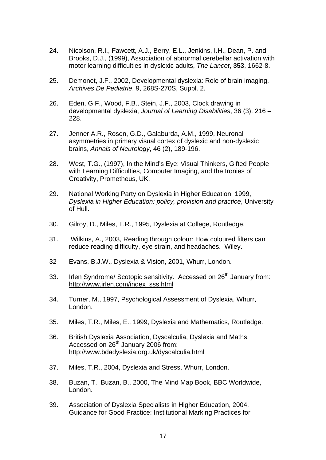- 24. Nicolson, R.I., Fawcett, A.J., Berry, E.L., Jenkins, I.H., Dean, P. and Brooks, D.J., (1999), Association of abnormal cerebellar activation with motor learning difficulties in dyslexic adults, *The Lancet*, **353**, 1662-8.
- 25. Demonet, J.F., 2002, Developmental dyslexia: Role of brain imaging, *Archives De Pediatrie*, 9, 268S-270S, Suppl. 2.
- 26. Eden, G.F., Wood, F.B., Stein, J.F., 2003, Clock drawing in developmental dyslexia, *Journal of Learning Disabilities*, 36 (3), 216 – 228.
- 27. Jenner A.R., Rosen, G.D., Galaburda, A.M., 1999, Neuronal asymmetries in primary visual cortex of dyslexic and non-dyslexic brains, *Annals of Neurology*, 46 (2), 189-196.
- 28. West, T.G., (1997), In the Mind's Eye: Visual Thinkers, Gifted People with Learning Difficulties, Computer Imaging, and the Ironies of Creativity, Prometheus, UK.
- 29. National Working Party on Dyslexia in Higher Education, 1999, *Dyslexia in Higher Education: policy, provision and practice*, University of Hull.
- 30. Gilroy, D., Miles, T.R., 1995, Dyslexia at College, Routledge.
- 31. Wilkins, A., 2003, Reading through colour: How coloured filters can reduce reading difficulty, eye strain, and headaches. Wiley.
- 32 Evans, B.J.W., Dyslexia & Vision, 2001, Whurr, London.
- 33. Irlen Syndrome/ Scotopic sensitivity. Accessed on 26<sup>th</sup> January from: http://www.irlen.com/index\_sss.html
- 34. Turner, M., 1997, Psychological Assessment of Dyslexia, Whurr, London.
- 35. Miles, T.R., Miles, E., 1999, Dyslexia and Mathematics, Routledge.
- 36. British Dyslexia Association, Dyscalculia, Dyslexia and Maths. Accessed on 26<sup>th</sup> January 2006 from: http://www.bdadyslexia.org.uk/dyscalculia.html
- 37. Miles, T.R., 2004, Dyslexia and Stress, Whurr, London.
- 38. Buzan, T., Buzan, B., 2000, The Mind Map Book, BBC Worldwide, London.
- 39. Association of Dyslexia Specialists in Higher Education, 2004, Guidance for Good Practice: Institutional Marking Practices for